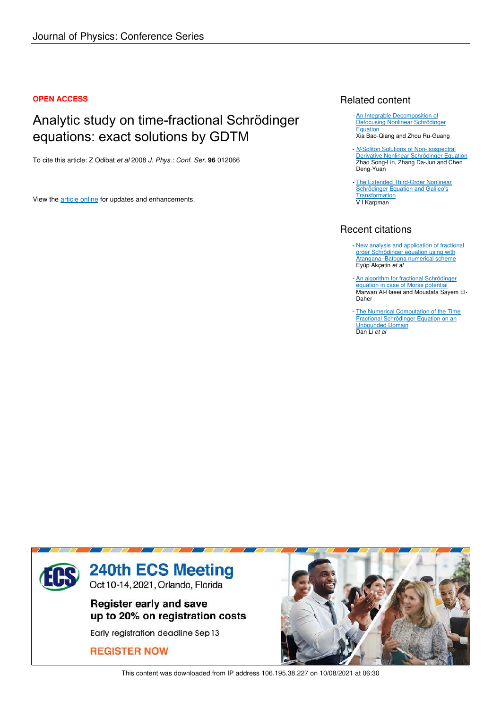### **OPEN ACCESS**

# Analytic study on time-fractional Schrödinger equations: exact solutions by GDTM

To cite this article: Z Odibat *et al* 2008 *J. Phys.: Conf. Ser.* **96** 012066

View the article online for updates and enhancements.

## Related content

- An Integrable Decomposition of Defocusing Nonlinear Schrödinger **Equation** Xia Bao-Qiang and Zhou Ru-Guang
- **N-Soliton Solutions of Non-Isospectral** Derivative Nonlinear Schrödinger Equation Zhao Song-Lin, Zhang Da-Jun and Chen Deng-Yuan
- The Extended Third-Order Nonlinear Schrödinger Equation and Galileo's Transformation V I Karpman

# Recent citations

- New analysis and application of fractional order Schrödinger equation using with Atangana–Batogna numerical scheme Eyüp Akçetin *et al*
- An algorithm for fractional Schrödinger equation in case of Morse potential Marwan Al-Raeei and Moustafa Sayem El-Daher
- The Numerical Computation of the Time Fractional Schrödinger Equation on an Unbounded Domain Dan Li *et al* -



This content was downloaded from IP address 106.195.38.227 on 10/08/2021 at 06:30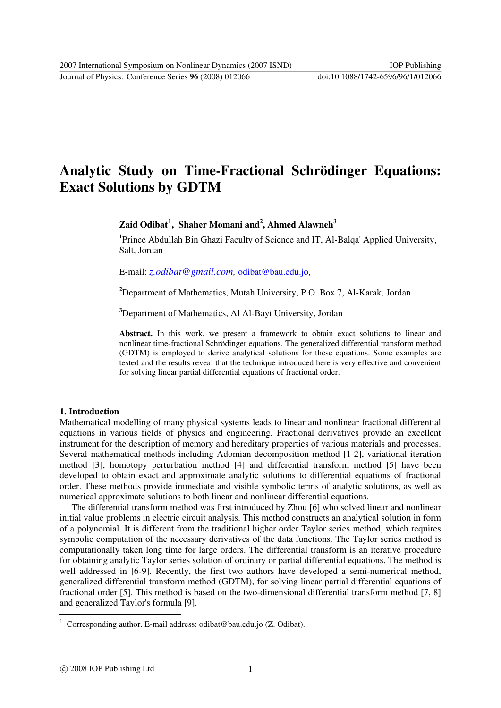Journal of Physics: Conference Series **96** (2008) 012066 doi:10.1088/1742-6596/96/1/012066

# **Analytic Study on Time-Fractional Schrödinger Equations: Exact Solutions by GDTM**

## **Zaid Odibat[1](#page-1-0) , Shaher Momani and<sup>2</sup> , Ahmed Alawneh<sup>3</sup>**

<sup>1</sup>Prince Abdullah Bin Ghazi Faculty of Science and IT, Al-Balqa' Applied University, Salt, Jordan

E-mail: *[z.odibat@gmail.com](mailto:z.odibat@gmail.com),* [odibat@bau.edu.jo,](mailto:odibat@bau.edu.jo)

**<sup>2</sup>**Department of Mathematics, Mutah University, P.O. Box 7, Al-Karak, Jordan

**<sup>3</sup>**Department of Mathematics, Al Al-Bayt University, Jordan

**Abstract.** In this work, we present a framework to obtain exact solutions to linear and nonlinear time-fractional Schrödinger equations. The generalized differential transform method (GDTM) is employed to derive analytical solutions for these equations. Some examples are tested and the results reveal that the technique introduced here is very effective and convenient for solving linear partial differential equations of fractional order.

#### **1. Introduction**

Mathematical modelling of many physical systems leads to linear and nonlinear fractional differential equations in various fields of physics and engineering. Fractional derivatives provide an excellent instrument for the description of memory and hereditary properties of various materials and processes. Several mathematical methods including Adomian decomposition method [1-2], variational iteration method [3], homotopy perturbation method [4] and differential transform method [5] have been developed to obtain exact and approximate analytic solutions to differential equations of fractional order. These methods provide immediate and visible symbolic terms of analytic solutions, as well as numerical approximate solutions to both linear and nonlinear differential equations.

The differential transform method was first introduced by Zhou [6] who solved linear and nonlinear initial value problems in electric circuit analysis. This method constructs an analytical solution in form of a polynomial. It is different from the traditional higher order Taylor series method, which requires symbolic computation of the necessary derivatives of the data functions. The Taylor series method is computationally taken long time for large orders. The differential transform is an iterative procedure for obtaining analytic Taylor series solution of ordinary or partial differential equations. The method is well addressed in [6-9]. Recently, the first two authors have developed a semi-numerical method, generalized differential transform method (GDTM), for solving linear partial differential equations of fractional order [5]. This method is based on the two-dimensional differential transform method [7, 8] and generalized Taylor's formula [9].

<span id="page-1-0"></span> 1 Corresponding author. E-mail address: [odibat@bau.edu.jo \(Z.](mailto:odibat@bau.edu.jo%20(Z) Odibat).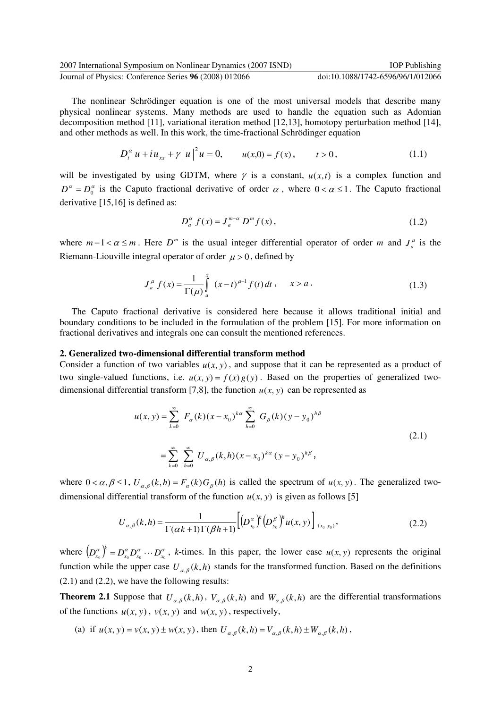| 2007 International Symposium on Nonlinear Dynamics (2007 ISND) | <b>IOP</b> Publishing             |
|----------------------------------------------------------------|-----------------------------------|
| Journal of Physics: Conference Series 96 (2008) 012066         | doi:10.1088/1742-6596/96/1/012066 |

The nonlinear Schrödinger equation is one of the most universal models that describe many physical nonlinear systems. Many methods are used to handle the equation such as Adomian decomposition method [11], variational iteration method [12,13], homotopy perturbation method [14], and other methods as well. In this work, the time-fractional Schrödinger equation

$$
D_t^{\alpha} u + i u_{xx} + \gamma |u|^2 u = 0, \qquad u(x,0) = f(x), \qquad t > 0,
$$
 (1.1)

will be investigated by using GDTM, where  $\gamma$  is a constant,  $u(x,t)$  is a complex function and  $D^{\alpha} = D_0^{\alpha}$  is the Caputo fractional derivative of order  $\alpha$ , where  $0 < \alpha \leq 1$ . The Caputo fractional derivative [15,16] is defined as:

$$
D_a^{\alpha} f(x) = J_a^{m-\alpha} D^m f(x), \qquad (1.2)
$$

where  $m-1 < \alpha \le m$ . Here  $D^m$  is the usual integer differential operator of order *m* and  $J_a^{\mu}$  is the Riemann-Liouville integral operator of order  $\mu > 0$ , defined by

$$
J_a^{\mu} f(x) = \frac{1}{\Gamma(\mu)} \int_a^x (x - t)^{\mu - 1} f(t) dt, \quad x > a.
$$
 (1.3)

The Caputo fractional derivative is considered here because it allows traditional initial and boundary conditions to be included in the formulation of the problem [15]. For more information on fractional derivatives and integrals one can consult the mentioned references.

#### **2. Generalized two-dimensional differential transform method**

Consider a function of two variables  $u(x, y)$ , and suppose that it can be represented as a product of two single-valued functions, i.e.  $u(x, y) = f(x)g(y)$ . Based on the properties of generalized twodimensional differential transform [7,8], the function  $u(x, y)$  can be represented as

$$
u(x, y) = \sum_{k=0}^{\infty} F_{\alpha}(k)(x - x_0)^{k\alpha} \sum_{h=0}^{\infty} G_{\beta}(k)(y - y_0)^{h\beta}
$$
  
= 
$$
\sum_{k=0}^{\infty} \sum_{h=0}^{\infty} U_{\alpha,\beta}(k, h)(x - x_0)^{k\alpha} (y - y_0)^{h\beta},
$$
 (2.1)

where  $0 < \alpha, \beta \le 1$ ,  $U_{\alpha,\beta}(k,h) = F_{\alpha}(k)G_{\beta}(h)$  is called the spectrum of  $u(x, y)$ . The generalized twodimensional differential transform of the function  $u(x, y)$  is given as follows [5]

$$
U_{\alpha,\beta}(k,h) = \frac{1}{\Gamma(\alpha k+1)\Gamma(\beta h+1)} \Big[ \Big(D_{x_0}^{\alpha}\Big)^{k} \Big(D_{y_0}^{\beta}\Big)^{h} u(x,y) \Big]_{(x_0,y_0)}, \tag{2.2}
$$

where  $(D_{x_0}^{\alpha})^k = D_{x_0}^{\alpha} D_{x_0}^{\alpha} \cdots D_{x_0}^{\alpha}$ , k-times. In this paper, the lower case  $u(x, y)$  represents the original function while the upper case  $U_{\alpha,\beta}(k,h)$  stands for the transformed function. Based on the definitions (2.1) and (2.2), we have the following results:  $D_{x_0}^{\alpha}$ <sup>*k*</sup> =  $D_{x_0}^{\alpha}$   $D_{x_0}^{\alpha}$  · · ·  $D_{x_0}^{\alpha}$ , *k*-times. In this paper, the lower case  $u(x, y)$ 

**Theorem 2.1** Suppose that  $U_{\alpha,\beta}(k,h)$ ,  $V_{\alpha,\beta}(k,h)$  and  $W_{\alpha,\beta}(k,h)$  are the differential transformations of the functions  $u(x, y)$ ,  $v(x, y)$  and  $w(x, y)$ , respectively,

(a) if 
$$
u(x, y) = v(x, y) \pm w(x, y)
$$
, then  $U_{\alpha, \beta}(k, h) = V_{\alpha, \beta}(k, h) \pm W_{\alpha, \beta}(k, h)$ ,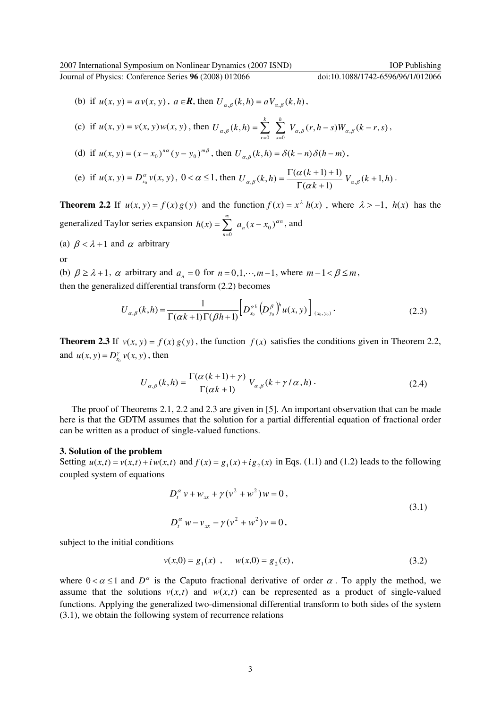(b) if 
$$
u(x, y) = av(x, y)
$$
,  $a \in \mathbb{R}$ , then  $U_{\alpha, \beta}(k, h) = aV_{\alpha, \beta}(k, h)$ ,

(c) if 
$$
u(x, y) = v(x, y)w(x, y)
$$
, then  $U_{\alpha, \beta}(k, h) = \sum_{r=0}^{k} \sum_{s=0}^{h} V_{\alpha, \beta}(r, h - s)W_{\alpha, \beta}(k - r, s)$ ,

(d) if 
$$
u(x, y) = (x - x_0)^{n\alpha} (y - y_0)^{m\beta}
$$
, then  $U_{\alpha, \beta}(k, h) = \delta(k - n)\delta(h - m)$ ,

(e) if 
$$
u(x, y) = D_{x_0}^{\alpha} v(x, y)
$$
,  $0 < \alpha \le 1$ , then  $U_{\alpha, \beta}(k, h) = \frac{\Gamma(\alpha(k+1) + 1)}{\Gamma(\alpha k + 1)} V_{\alpha, \beta}(k+1, h)$ .

**Theorem 2.2** If  $u(x, y) = f(x)g(y)$  and the function  $f(x) = x^{\lambda} h(x)$ , where  $\lambda > -1$ ,  $h(x)$  has the generalized Taylor series expansion  $h(x) = \sum_{n=0}^{\infty} a_n (x - x_0)^{\alpha n}$ , and  $f(x) = \sum a_n(x)$  $=\sum_{n=0}^{\infty} a_n(x-$ = *h*

(a)  $\beta < \lambda + 1$  and  $\alpha$  arbitrary

or

(b)  $\beta \ge \lambda + 1$ ,  $\alpha$  arbitrary and  $a_n = 0$  for  $n = 0, 1, \dots, m-1$ , where  $m - 1 < \beta \le m$ , then the generalized differential transform (2.2) becomes

$$
U_{\alpha,\beta}(k,h) = \frac{1}{\Gamma(\alpha k+1)\Gamma(\beta h+1)} \Big[ D_{x_0}^{\alpha k} \left( D_{y_0}^{\beta} \right)^h u(x,y) \Big]_{(x_0,y_0)}.
$$
 (2.3)

**Theorem 2.3** If  $v(x, y) = f(x)g(y)$ , the function  $f(x)$  satisfies the conditions given in Theorem 2.2, and  $u(x, y) = D_{x_0}^{\gamma} v(x, y)$ , then

$$
U_{\alpha,\beta}(k,h) = \frac{\Gamma(\alpha(k+1)+\gamma)}{\Gamma(\alpha k+1)} V_{\alpha,\beta}(k+\gamma/\alpha,h).
$$
 (2.4)

The proof of Theorems 2.1, 2.2 and 2.3 are given in [5]. An important observation that can be made here is that the GDTM assumes that the solution for a partial differential equation of fractional order can be written as a product of single-valued functions.

#### **3. Solution of the problem**

Setting  $u(x,t) = v(x,t) + i w(x,t)$  and  $f(x) = g_1(x) + i g_2(x)$  in Eqs. (1.1) and (1.2) leads to the following coupled system of equations

$$
D_t^{\alpha} v + w_{xx} + \gamma (v^2 + w^2) w = 0,
$$
  
\n
$$
D_t^{\alpha} w - v_{xx} - \gamma (v^2 + w^2) v = 0,
$$
\n(3.1)

subject to the initial conditions

$$
v(x,0) = g_1(x) , \quad w(x,0) = g_2(x), \tag{3.2}
$$

where  $0 < \alpha \leq 1$  and  $D^{\alpha}$  is the Caputo fractional derivative of order  $\alpha$ . To apply the method, we assume that the solutions  $v(x,t)$  and  $w(x,t)$  can be represented as a product of single-valued functions. Applying the generalized two-dimensional differential transform to both sides of the system (3.1), we obtain the following system of recurrence relations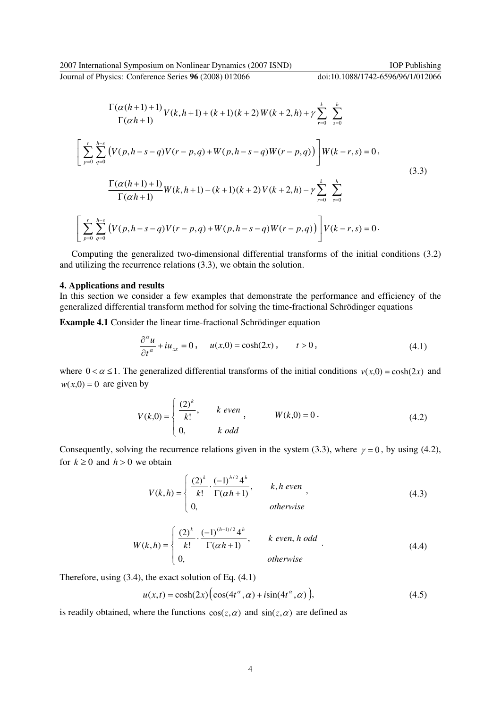$$
\frac{\Gamma(\alpha(h+1)+1)}{\Gamma(\alpha h+1)}V(k,h+1)+(k+1)(k+2)W(k+2,h)+\gamma\sum_{r=0}^{k}\sum_{s=0}^{h}
$$
\n
$$
\left[\sum_{p=0}^{r}\sum_{q=0}^{h-s}\left(V(p,h-s-q)V(r-p,q)+W(p,h-s-q)W(r-p,q)\right)\right]W(k-r,s)=0,
$$
\n
$$
\frac{\Gamma(\alpha(h+1)+1)}{\Gamma(\alpha h+1)}W(k,h+1)-(k+1)(k+2)V(k+2,h)-\gamma\sum_{r=0}^{k}\sum_{s=0}^{h}
$$
\n
$$
\left[\sum_{p=0}^{r}\sum_{q=0}^{h-s}\left(V(p,h-s-q)V(r-p,q)+W(p,h-s-q)W(r-p,q)\right)\right]V(k-r,s)=0.
$$
\n(3.3)

Computing the generalized two-dimensional differential transforms of the initial conditions (3.2) and utilizing the recurrence relations (3.3), we obtain the solution.

#### **4. Applications and results**

In this section we consider a few examples that demonstrate the performance and efficiency of the generalized differential transform method for solving the time-fractional Schrödinger equations

**Example 4.1** Consider the linear time-fractional Schrödinger equation

$$
\frac{\partial^{\alpha} u}{\partial t^{\alpha}} + i u_{xx} = 0, \quad u(x,0) = \cosh(2x), \quad t > 0,
$$
\n(4.1)

where  $0 < \alpha \le 1$ . The generalized differential transforms of the initial conditions  $v(x,0) = \cosh(2x)$  and  $w(x,0) = 0$  are given by

$$
V(k,0) = \begin{cases} \frac{(2)^k}{k!}, & k \text{ even} \\ 0, & k \text{ odd} \end{cases}, \qquad W(k,0) = 0.
$$
 (4.2)

Consequently, solving the recurrence relations given in the system (3.3), where  $\gamma = 0$ , by using (4.2), for  $k \geq 0$  and  $h > 0$  we obtain

$$
V(k,h) = \begin{cases} \frac{(2)^k}{k!} \cdot \frac{(-1)^{h/2} 4^h}{\Gamma(\alpha h + 1)}, & k, h \text{ even} \\ 0, & otherwise \end{cases}
$$
 (4.3)

$$
W(k,h) = \begin{cases} \frac{(2)^k}{k!} \cdot \frac{(-1)^{(h-1)/2} 4^h}{\Gamma(\alpha h + 1)}, & k \text{ even, } h \text{ odd} \\ 0, & \text{otherwise} \end{cases}
$$
 (4.4)

Therefore, using (3.4), the exact solution of Eq. (4.1)

$$
u(x,t) = \cosh(2x) \Big( \cos(4t^{\alpha}, \alpha) + i \sin(4t^{\alpha}, \alpha) \Big), \tag{4.5}
$$

is readily obtained, where the functions  $cos(z, \alpha)$  and  $sin(z, \alpha)$  are defined as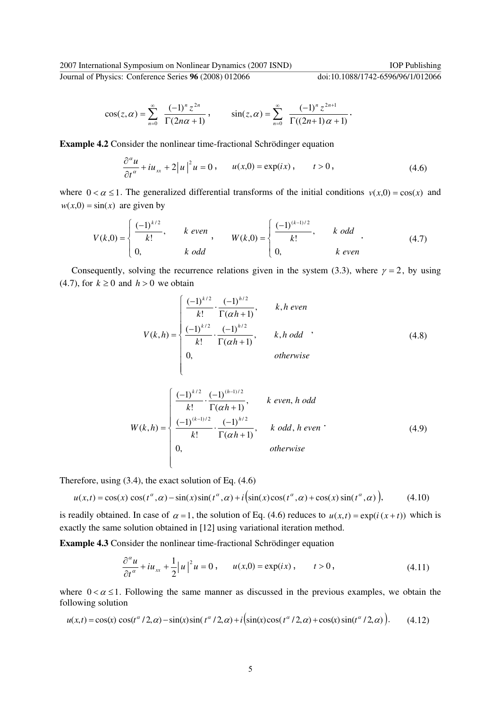Journal of Physics: Conference Series 96 (2008) 012066

.

 $(2n\alpha+1)$  $\cos(z,\alpha) = \sum_{n=1}^{\infty} \frac{(-1)^n}{n!}$ 2  $\int_0^1$  Γ(2nα +  $=\sum_{r=1}^{\infty}\frac{(-1)^{r}}{\Gamma(r)}$  $\overline{=}0$  1 (2n $\alpha$  $\alpha$ ) =  $\sum_{n=0}$   $\overline{\Gamma(2n)}$  $(z,\alpha) = \sum_{n=1}^{\infty} \frac{(-1)^n z^n}{n!}$ *n n n* ,  $((2n+1)\alpha+1)$  $\sin(z, \alpha) = \sum_{n=1}^{\infty} \frac{(-1)^n}{n!}$  $^{2n+1}$  $\int_0^1 \Gamma((2n+1)\alpha +$  $=\sum_{n=1}^{\infty}\frac{(-1)^n}{n!}$ ∞  $(-1)^n z^{2n+1}$  $\alpha) = \sum_{n=0}^{\infty} \frac{(-1)^n z}{\Gamma((2n+1)\alpha)}$  $(z,\alpha) = \sum_{n=1}^{\infty} \frac{(-1)^n z^n}{\Gamma(n-1)}$ *n n n*

**Example 4.2** Consider the nonlinear time-fractional Schrödinger equation

$$
\frac{\partial^{\alpha} u}{\partial t^{\alpha}} + i u_{xx} + 2|u|^2 u = 0, \qquad u(x,0) = \exp(ix), \qquad t > 0,
$$
\n(4.6)

where  $0 < \alpha \leq 1$ . The generalized differential transforms of the initial conditions  $v(x,0) = cos(x)$  and  $w(x,0) = \sin(x)$  are given by

$$
V(k,0) = \begin{cases} \frac{(-1)^{k/2}}{k!}, & k \text{ even} \\ 0, & k \text{ odd} \end{cases}, \qquad W(k,0) = \begin{cases} \frac{(-1)^{(k-1)/2}}{k!}, & k \text{ odd} \\ 0, & k \text{ even} \end{cases} (4.7)
$$

Consequently, solving the recurrence relations given in the system (3.3), where  $\gamma = 2$ , by using (4.7), for  $k \ge 0$  and  $h > 0$  we obtain

$$
V(k,h) = \begin{cases} \frac{(-1)^{k/2}}{k!} \cdot \frac{(-1)^{h/2}}{\Gamma(\alpha h + 1)}, & k, h \text{ even} \\ \frac{(-1)^{k/2}}{k!} \cdot \frac{(-1)^{h/2}}{\Gamma(\alpha h + 1)}, & k, h \text{ odd} \\ 0, & \text{otherwise} \end{cases}
$$
(4.8)

$$
W(k,h) = \begin{cases} \frac{(-1)^{k/2}}{k!} \cdot \frac{(-1)^{(h-1)/2}}{\Gamma(\alpha h + 1)}, & k \text{ even, } h \text{ odd} \\ \frac{(-1)^{(k-1)/2}}{k!} \cdot \frac{(-1)^{h/2}}{\Gamma(\alpha h + 1)}, & k \text{ odd, } h \text{ even} \\ 0, & \text{otherwise} \end{cases}
$$
(4.9)

Therefore, using (3.4), the exact solution of Eq. (4.6)

$$
u(x,t) = \cos(x)\cos(t^{\alpha},\alpha) - \sin(x)\sin(t^{\alpha},\alpha) + i\left(\sin(x)\cos(t^{\alpha},\alpha) + \cos(x)\sin(t^{\alpha},\alpha)\right),\tag{4.10}
$$

is readily obtained. In case of  $\alpha = 1$ , the solution of Eq. (4.6) reduces to  $u(x,t) = \exp(i(x + t))$  which is exactly the same solution obtained in [12] using variational iteration method.

**Example 4.3** Consider the nonlinear time-fractional Schrödinger equation

$$
\frac{\partial^{\alpha} u}{\partial t^{\alpha}} + i u_{xx} + \frac{1}{2} |u|^2 u = 0, \qquad u(x,0) = \exp(ix), \qquad t > 0,
$$
\n(4.11)

where  $0 < \alpha \leq 1$ . Following the same manner as discussed in the previous examples, we obtain the following solution

$$
u(x,t) = \cos(x)\cos(t^{\alpha}/2,\alpha) - \sin(x)\sin(t^{\alpha}/2,\alpha) + i\left(\sin(x)\cos(t^{\alpha}/2,\alpha) + \cos(x)\sin(t^{\alpha}/2,\alpha)\right). \tag{4.12}
$$